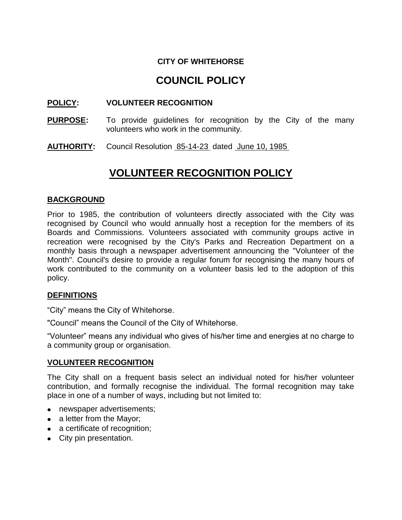## **CITY OF WHITEHORSE**

# **COUNCIL POLICY**

### **POLICY: VOLUNTEER RECOGNITION**

- **PURPOSE:** To provide guidelines for recognition by the City of the many volunteers who work in the community.
- AUTHORITY: Council Resolution 85-14-23 dated June 10, 1985

# **VOLUNTEER RECOGNITION POLICY**

#### **BACKGROUND**

Prior to 1985, the contribution of volunteers directly associated with the City was recognised by Council who would annually host a reception for the members of its Boards and Commissions. Volunteers associated with community groups active in recreation were recognised by the City's Parks and Recreation Department on a monthly basis through a newspaper advertisement announcing the "Volunteer of the Month". Council's desire to provide a regular forum for recognising the many hours of work contributed to the community on a volunteer basis led to the adoption of this policy.

#### **DEFINITIONS**

"City" means the City of Whitehorse.

"Council" means the Council of the City of Whitehorse.

"Volunteer" means any individual who gives of his/her time and energies at no charge to a community group or organisation.

#### **VOLUNTEER RECOGNITION**

The City shall on a frequent basis select an individual noted for his/her volunteer contribution, and formally recognise the individual. The formal recognition may take place in one of a number of ways, including but not limited to:

- newspaper advertisements;
- a letter from the Mayor;
- a certificate of recognition;
- City pin presentation.